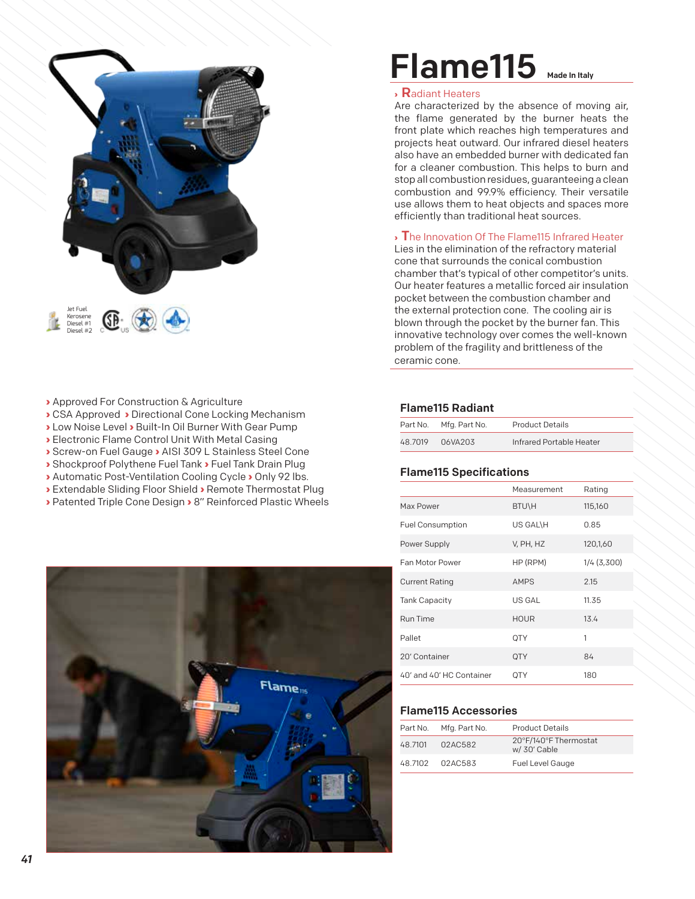

- **›** Approved For Construction & Agriculture
- **›** CSA Approved **›** Directional Cone Locking Mechanism
- **›** Low Noise Level **›** Built-In Oil Burner With Gear Pump
- **›** Electronic Flame Control Unit With Metal Casing
- **›** Screw-on Fuel Gauge **›** AISI 309 L Stainless Steel Cone
- **›** Shockproof Polythene Fuel Tank **›** Fuel Tank Drain Plug
- **›** Automatic Post-Ventilation Cooling Cycle **›** Only 92 lbs.
- **›** Extendable Sliding Floor Shield **›** Remote Thermostat Plug **›** Patented Triple Cone Design **›** 8" Reinforced Plastic Wheels

# Flame115 Made In Italy

### **›** Radiant Heaters

Are characterized by the absence of moving air, the flame generated by the burner heats the front plate which reaches high temperatures and projects heat outward. Our infrared diesel heaters also have an embedded burner with dedicated fan for a cleaner combustion. This helps to burn and stop all combustion residues, guaranteeing a clean combustion and 99.9% efficiency. Their versatile use allows them to heat objects and spaces more efficiently than traditional heat sources.

#### **›** The Innovation Of The Flame115 Infrared Heater

Lies in the elimination of the refractory material cone that surrounds the conical combustion chamber that's typical of other competitor's units. Our heater features a metallic forced air insulation pocket between the combustion chamber and the external protection cone. The cooling air is blown through the pocket by the burner fan. This innovative technology over comes the well-known problem of the fragility and brittleness of the ceramic cone.

### Flame115 Radiant

|         | Part No. Mfg. Part No. | <b>Product Details</b>   |
|---------|------------------------|--------------------------|
| 48.7019 | 06VA203                | Infrared Portable Heater |

### Flame115 Specifications

|                          | Measurement | Rating      |
|--------------------------|-------------|-------------|
| Max Power                | BTU\H       | 115,160     |
| <b>Fuel Consumption</b>  | US GAL\H    | 0.85        |
| Power Supply             | V, PH, HZ   | 120,1,60    |
| <b>Fan Motor Power</b>   | HP (RPM)    | 1/4 (3,300) |
| <b>Current Rating</b>    | <b>AMPS</b> | 2.15        |
| <b>Tank Capacity</b>     | US GAL      | 11.35       |
| Run Time                 | <b>HOUR</b> | 13.4        |
| Pallet                   | QTY         | 1           |
| 20' Container            | <b>OTY</b>  | 84          |
| 40' and 40' HC Container | OTY         | 180         |

## Flame115 Accessories

|         | Part No. Mfg. Part No. | <b>Product Details</b>                |
|---------|------------------------|---------------------------------------|
| 48.7101 | 02AC582                | 20°F/140°F Thermostat<br>w/ 30' Cable |
|         | 48.7102 02AC583        | <b>Fuel Level Gauge</b>               |